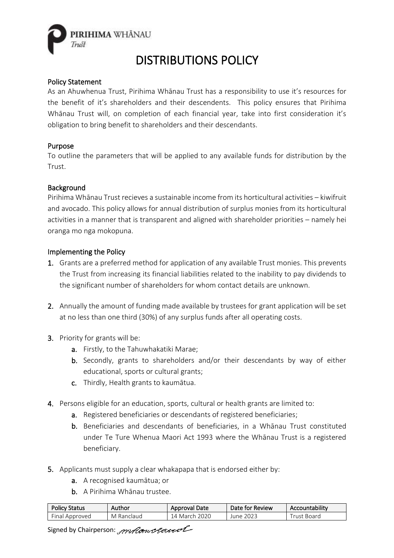

# DISTRIBUTIONS POLICY

## Policy Statement

As an Ahuwhenua Trust, Pirihima Whānau Trust has a responsibility to use it's resources for the benefit of it's shareholders and their descendents. This policy ensures that Pirihima Whānau Trust will, on completion of each financial year, take into first consideration it's obligation to bring benefit to shareholders and their descendants.

### Purpose

To outline the parameters that will be applied to any available funds for distribution by the Trust.

#### **Background**

Pirihima Whānau Trust recieves a sustainable income from its horticultural activities – kiwifruit and avocado. This policy allows for annual distribution of surplus monies from its horticultural activities in a manner that is transparent and aligned with shareholder priorities – namely hei oranga mo nga mokopuna.

### Implementing the Policy

- 1. Grants are a preferred method for application of any available Trust monies. This prevents the Trust from increasing its financial liabilities related to the inability to pay dividends to the significant number of shareholders for whom contact details are unknown.
- 2. Annually the amount of funding made available by trustees for grant application will be set at no less than one third (30%) of any surplus funds after all operating costs.
- 3. Priority for grants will be:
	- a. Firstly, to the Tahuwhakatiki Marae;
	- b. Secondly, grants to shareholders and/or their descendants by way of either educational, sports or cultural grants;
	- c. Thirdly, Health grants to kaumātua.
- 4. Persons eligible for an education, sports, cultural or health grants are limited to:
	- a. Registered beneficiaries or descendants of registered beneficiaries;
	- b. Beneficiaries and descendants of beneficiaries, in a Whānau Trust constituted under Te Ture Whenua Maori Act 1993 where the Whānau Trust is a registered beneficiary.
- 5. Applicants must supply a clear whakapapa that is endorsed either by:
	- a. A recognised kaumātua; or
	- b. A Pirihima Whānau trustee.

| <b>Policy Status</b> | Author     | Approval Date | Date for Review | Accountability |
|----------------------|------------|---------------|-----------------|----------------|
| Final Approved       | M Ranclaud | 14 March 2020 | June 2023       | Frust Board    |

Signed by Chairperson: mechanolened